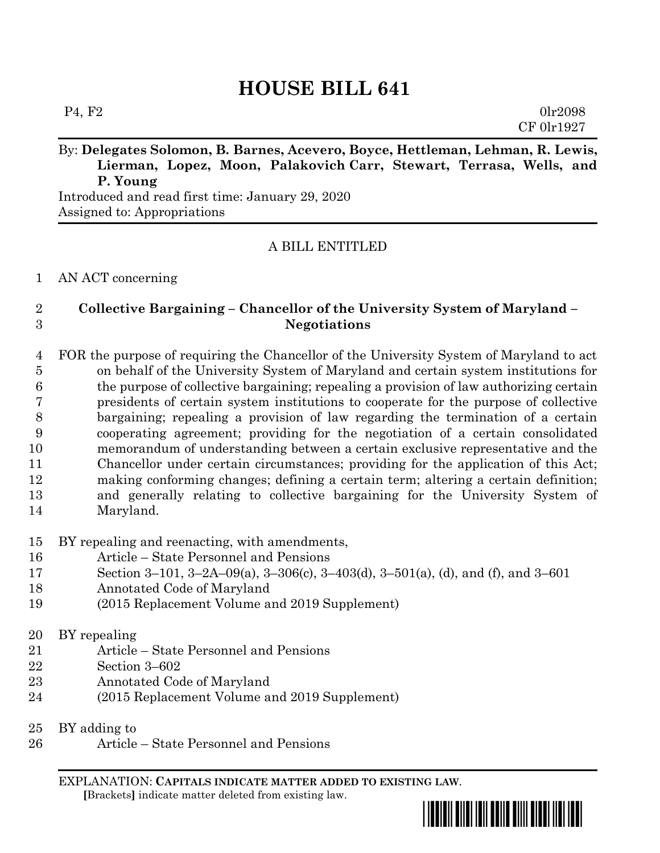# **HOUSE BILL 641**

 $P_4, F_2$  0lr2098 CF 0lr1927

# By: **Delegates Solomon, B. Barnes, Acevero, Boyce, Hettleman, Lehman, R. Lewis, Lierman, Lopez, Moon, Palakovich Carr, Stewart, Terrasa, Wells, and P. Young**

Introduced and read first time: January 29, 2020 Assigned to: Appropriations

## A BILL ENTITLED

### AN ACT concerning

# **Collective Bargaining – Chancellor of the University System of Maryland – Negotiations**

 FOR the purpose of requiring the Chancellor of the University System of Maryland to act on behalf of the University System of Maryland and certain system institutions for the purpose of collective bargaining; repealing a provision of law authorizing certain presidents of certain system institutions to cooperate for the purpose of collective bargaining; repealing a provision of law regarding the termination of a certain cooperating agreement; providing for the negotiation of a certain consolidated memorandum of understanding between a certain exclusive representative and the Chancellor under certain circumstances; providing for the application of this Act; making conforming changes; defining a certain term; altering a certain definition; and generally relating to collective bargaining for the University System of Maryland.

### BY repealing and reenacting, with amendments,

- Article State Personnel and Pensions
- Section 3–101, 3–2A–09(a), 3–306(c), 3–403(d), 3–501(a), (d), and (f), and 3–601
- Annotated Code of Maryland
- (2015 Replacement Volume and 2019 Supplement)
- BY repealing
- Article State Personnel and Pensions
- Section 3–602
- Annotated Code of Maryland
- (2015 Replacement Volume and 2019 Supplement)
- BY adding to
- Article State Personnel and Pensions

EXPLANATION: **CAPITALS INDICATE MATTER ADDED TO EXISTING LAW**.  **[**Brackets**]** indicate matter deleted from existing law.

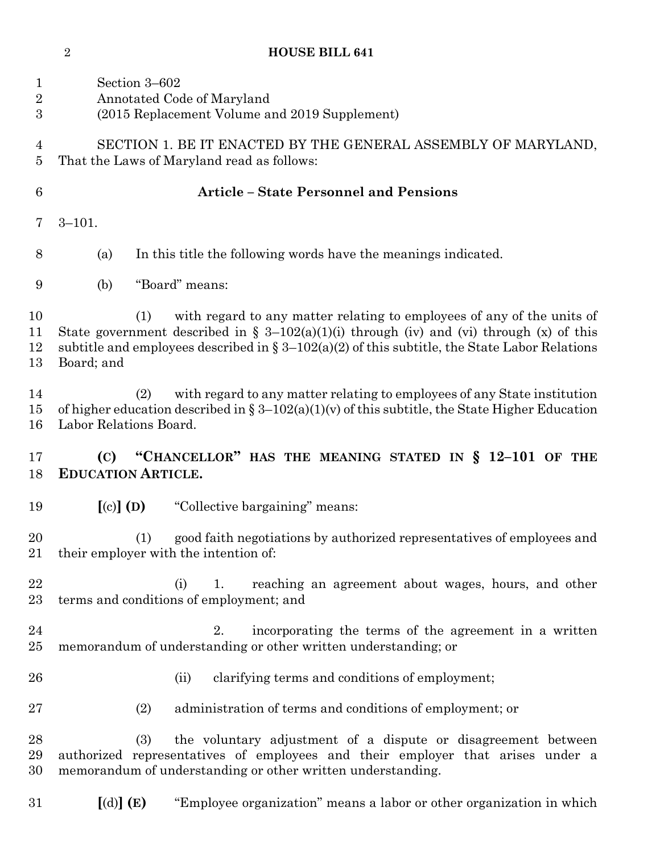| $\mathbf{1}$<br>$\overline{2}$<br>$\overline{3}$ | Section 3-602<br>Annotated Code of Maryland<br>(2015 Replacement Volume and 2019 Supplement)                                                                                                                                                                                                |
|--------------------------------------------------|---------------------------------------------------------------------------------------------------------------------------------------------------------------------------------------------------------------------------------------------------------------------------------------------|
| $\overline{4}$<br>5                              | SECTION 1. BE IT ENACTED BY THE GENERAL ASSEMBLY OF MARYLAND,<br>That the Laws of Maryland read as follows:                                                                                                                                                                                 |
| $6\phantom{.}6$                                  | <b>Article - State Personnel and Pensions</b>                                                                                                                                                                                                                                               |
| 7                                                | $3 - 101.$                                                                                                                                                                                                                                                                                  |
| 8                                                | In this title the following words have the meanings indicated.<br>(a)                                                                                                                                                                                                                       |
| 9                                                | "Board" means:<br>(b)                                                                                                                                                                                                                                                                       |
| 10<br>11<br>12<br>13                             | with regard to any matter relating to employees of any of the units of<br>(1)<br>State government described in § 3-102(a)(1)(i) through (iv) and (vi) through (x) of this<br>subtitle and employees described in $\S 3-102(a)(2)$ of this subtitle, the State Labor Relations<br>Board; and |
| 14<br>15<br>16                                   | with regard to any matter relating to employees of any State institution<br>(2)<br>of higher education described in $\S 3-102(a)(1)(v)$ of this subtitle, the State Higher Education<br>Labor Relations Board.                                                                              |
| 17<br>18                                         | "CHANCELLOR" HAS THE MEANING STATED IN § 12-101 OF THE<br>(C)<br><b>EDUCATION ARTICLE.</b>                                                                                                                                                                                                  |
| 19                                               | $\left[ \text{(c)} \right]$ (D)<br>"Collective bargaining" means:                                                                                                                                                                                                                           |
| 20<br>21                                         | good faith negotiations by authorized representatives of employees and<br>(1)<br>their employer with the intention of:                                                                                                                                                                      |
| 22<br>23                                         | reaching an agreement about wages, hours, and other<br>(i)<br>1.<br>terms and conditions of employment; and                                                                                                                                                                                 |
| 24<br>25                                         | incorporating the terms of the agreement in a written<br>2.<br>memorandum of understanding or other written understanding; or                                                                                                                                                               |
| 26                                               | clarifying terms and conditions of employment;<br>(ii)                                                                                                                                                                                                                                      |
| 27                                               | administration of terms and conditions of employment; or<br>(2)                                                                                                                                                                                                                             |
| 28<br>29<br>30                                   | the voluntary adjustment of a dispute or disagreement between<br>(3)<br>authorized representatives of employees and their employer that arises under a<br>memorandum of understanding or other written understanding.                                                                       |
| 31                                               | "Employee organization" means a labor or other organization in which<br>[(d)] (E)                                                                                                                                                                                                           |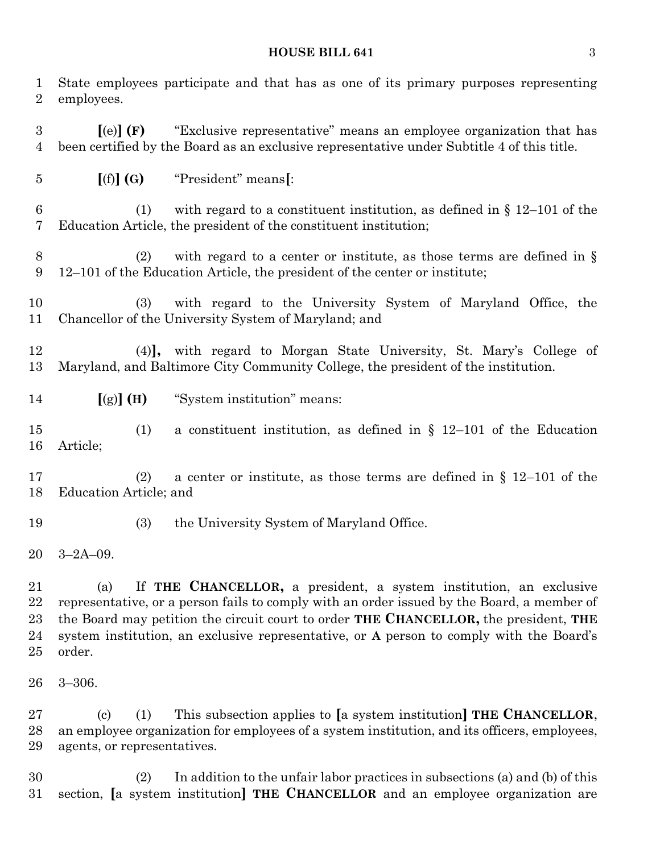#### **HOUSE BILL 641** 3

 State employees participate and that has as one of its primary purposes representing employees.

 **[**(e)**] (F)** "Exclusive representative" means an employee organization that has been certified by the Board as an exclusive representative under Subtitle 4 of this title.

**[**(f)**] (G)** "President" means**[**:

6 (1) with regard to a constituent institution, as defined in  $\S 12-101$  of the Education Article, the president of the constituent institution;

 (2) with regard to a center or institute, as those terms are defined in § 12–101 of the Education Article, the president of the center or institute;

 (3) with regard to the University System of Maryland Office, the Chancellor of the University System of Maryland; and

 (4)**],** with regard to Morgan State University, St. Mary's College of Maryland, and Baltimore City Community College, the president of the institution.

**[**(g)**] (H)** "System institution" means:

 (1) a constituent institution, as defined in § 12–101 of the Education Article;

 (2) a center or institute, as those terms are defined in § 12–101 of the Education Article; and

(3) the University System of Maryland Office.

3–2A–09.

 (a) If **THE CHANCELLOR,** a president, a system institution, an exclusive representative, or a person fails to comply with an order issued by the Board, a member of the Board may petition the circuit court to order **THE CHANCELLOR,** the president, **THE**  system institution, an exclusive representative, or **A** person to comply with the Board's order.

 (c) (1) This subsection applies to **[**a system institution**] THE CHANCELLOR**, an employee organization for employees of a system institution, and its officers, employees, agents, or representatives.

 (2) In addition to the unfair labor practices in subsections (a) and (b) of this section, **[**a system institution**] THE CHANCELLOR** and an employee organization are

3–306.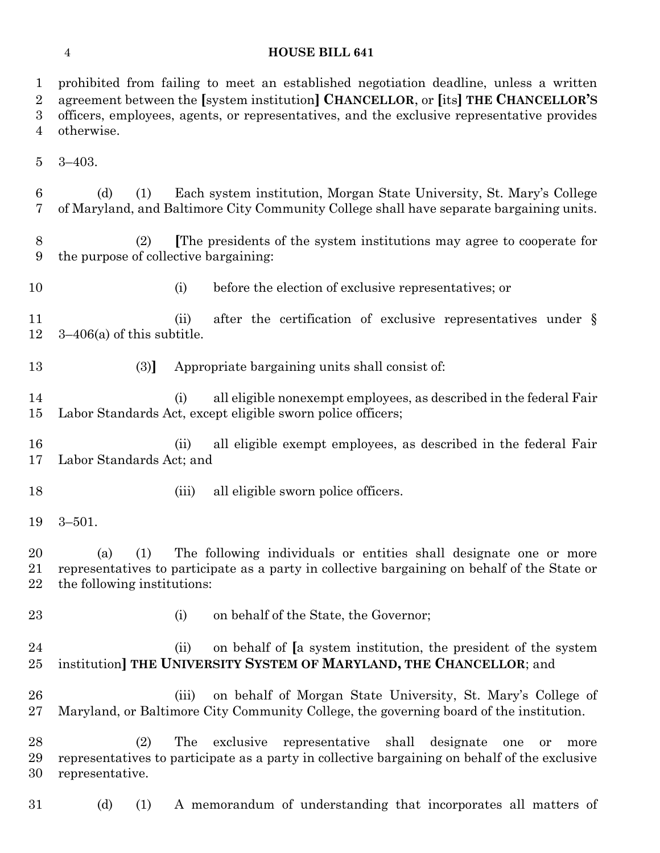#### **HOUSE BILL 641**

 prohibited from failing to meet an established negotiation deadline, unless a written agreement between the **[**system institution**] CHANCELLOR**, or **[**its**] THE CHANCELLOR'S** officers, employees, agents, or representatives, and the exclusive representative provides otherwise. 3–403. (d) (1) Each system institution, Morgan State University, St. Mary's College of Maryland, and Baltimore City Community College shall have separate bargaining units. (2) **[**The presidents of the system institutions may agree to cooperate for the purpose of collective bargaining: 10 (i) before the election of exclusive representatives; or 11 (ii) after the certification of exclusive representatives under § 3–406(a) of this subtitle. (3)**]** Appropriate bargaining units shall consist of: (i) all eligible nonexempt employees, as described in the federal Fair Labor Standards Act, except eligible sworn police officers; (ii) all eligible exempt employees, as described in the federal Fair Labor Standards Act; and 18 (iii) all eligible sworn police officers. 3–501. (a) (1) The following individuals or entities shall designate one or more representatives to participate as a party in collective bargaining on behalf of the State or the following institutions: 23 (i) on behalf of the State, the Governor; (ii) on behalf of **[**a system institution, the president of the system institution**] THE UNIVERSITY SYSTEM OF MARYLAND, THE CHANCELLOR**; and (iii) on behalf of Morgan State University, St. Mary's College of Maryland, or Baltimore City Community College, the governing board of the institution. (2) The exclusive representative shall designate one or more representatives to participate as a party in collective bargaining on behalf of the exclusive representative. (d) (1) A memorandum of understanding that incorporates all matters of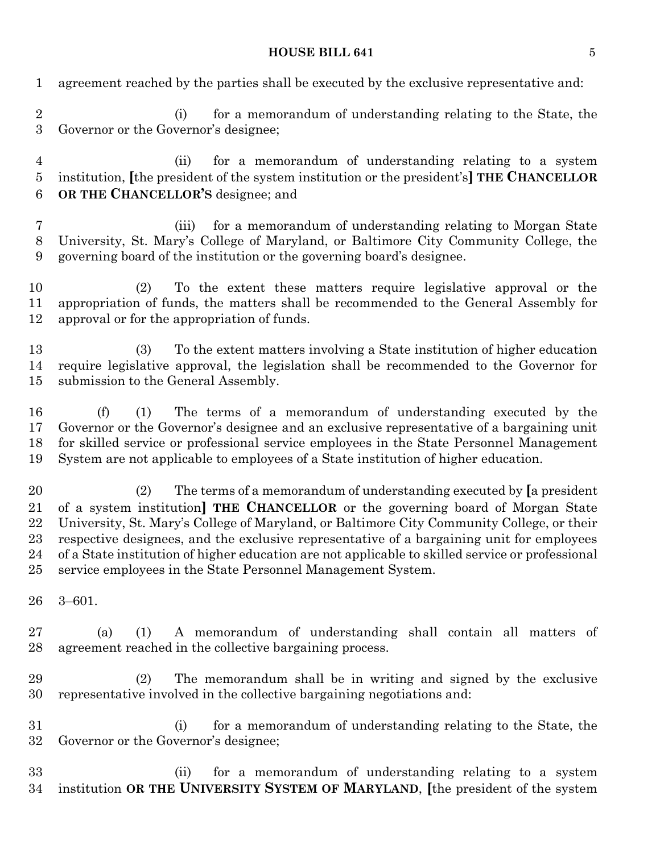# **HOUSE BILL 641** 5

| $\mathbf 1$                          | agreement reached by the parties shall be executed by the exclusive representative and:                                                                                                                                                                                                                                                                                                                                                                                                                                    |
|--------------------------------------|----------------------------------------------------------------------------------------------------------------------------------------------------------------------------------------------------------------------------------------------------------------------------------------------------------------------------------------------------------------------------------------------------------------------------------------------------------------------------------------------------------------------------|
| $\boldsymbol{2}$<br>3                | for a memorandum of understanding relating to the State, the<br>(i)<br>Governor or the Governor's designee;                                                                                                                                                                                                                                                                                                                                                                                                                |
| 4<br>5<br>6                          | for a memorandum of understanding relating to a system<br>(ii)<br>institution, [the president of the system institution or the president's] THE CHANCELLOR<br>OR THE CHANCELLOR'S designee; and                                                                                                                                                                                                                                                                                                                            |
| 7<br>$8\,$<br>9                      | for a memorandum of understanding relating to Morgan State<br>(iii)<br>University, St. Mary's College of Maryland, or Baltimore City Community College, the<br>governing board of the institution or the governing board's designee.                                                                                                                                                                                                                                                                                       |
| 10<br>11<br>12                       | To the extent these matters require legislative approval or the<br>(2)<br>appropriation of funds, the matters shall be recommended to the General Assembly for<br>approval or for the appropriation of funds.                                                                                                                                                                                                                                                                                                              |
| 13<br>14<br>15                       | To the extent matters involving a State institution of higher education<br>(3)<br>require legislative approval, the legislation shall be recommended to the Governor for<br>submission to the General Assembly.                                                                                                                                                                                                                                                                                                            |
| 16<br>17<br>18<br>19                 | The terms of a memorandum of understanding executed by the<br>(f)<br>(1)<br>Governor or the Governor's designee and an exclusive representative of a bargaining unit<br>for skilled service or professional service employees in the State Personnel Management<br>System are not applicable to employees of a State institution of higher education.                                                                                                                                                                      |
| 20<br>21<br>22<br>23<br>24<br>$25\,$ | The terms of a memorandum of understanding executed by [a president]<br>(2)<br>of a system institution] THE CHANCELLOR or the governing board of Morgan State<br>University, St. Mary's College of Maryland, or Baltimore City Community College, or their<br>respective designees, and the exclusive representative of a bargaining unit for employees<br>of a State institution of higher education are not applicable to skilled service or professional<br>service employees in the State Personnel Management System. |
| $26\,$                               | $3 - 601$ .                                                                                                                                                                                                                                                                                                                                                                                                                                                                                                                |
| $27\,$<br>28                         | A memorandum of understanding shall contain all matters of<br>(1)<br>(a)<br>agreement reached in the collective bargaining process.                                                                                                                                                                                                                                                                                                                                                                                        |
| 29<br>30                             | The memorandum shall be in writing and signed by the exclusive<br>(2)<br>representative involved in the collective bargaining negotiations and:                                                                                                                                                                                                                                                                                                                                                                            |
| $31\,$<br>32                         | for a memorandum of understanding relating to the State, the<br>(i)<br>Governor or the Governor's designee;                                                                                                                                                                                                                                                                                                                                                                                                                |
| 33<br>34                             | for a memorandum of understanding relating to a system<br>(ii)<br>institution OR THE UNIVERSITY SYSTEM OF MARYLAND, [the president of the system                                                                                                                                                                                                                                                                                                                                                                           |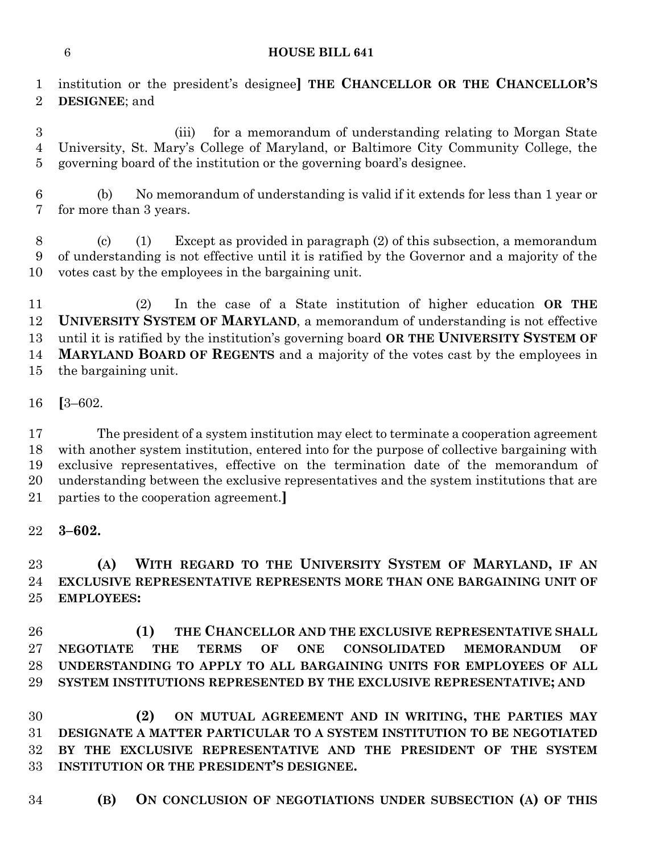#### **HOUSE BILL 641**

 institution or the president's designee**] THE CHANCELLOR OR THE CHANCELLOR'S DESIGNEE**; and

 (iii) for a memorandum of understanding relating to Morgan State University, St. Mary's College of Maryland, or Baltimore City Community College, the governing board of the institution or the governing board's designee.

 (b) No memorandum of understanding is valid if it extends for less than 1 year or for more than 3 years.

 (c) (1) Except as provided in paragraph (2) of this subsection, a memorandum of understanding is not effective until it is ratified by the Governor and a majority of the votes cast by the employees in the bargaining unit.

 (2) In the case of a State institution of higher education **OR THE UNIVERSITY SYSTEM OF MARYLAND**, a memorandum of understanding is not effective until it is ratified by the institution's governing board **OR THE UNIVERSITY SYSTEM OF MARYLAND BOARD OF REGENTS** and a majority of the votes cast by the employees in the bargaining unit.

**[**3–602.

 The president of a system institution may elect to terminate a cooperation agreement with another system institution, entered into for the purpose of collective bargaining with exclusive representatives, effective on the termination date of the memorandum of understanding between the exclusive representatives and the system institutions that are parties to the cooperation agreement.**]**

**3–602.**

 **(A) WITH REGARD TO THE UNIVERSITY SYSTEM OF MARYLAND, IF AN EXCLUSIVE REPRESENTATIVE REPRESENTS MORE THAN ONE BARGAINING UNIT OF EMPLOYEES:**

 **(1) THE CHANCELLOR AND THE EXCLUSIVE REPRESENTATIVE SHALL NEGOTIATE THE TERMS OF ONE CONSOLIDATED MEMORANDUM OF UNDERSTANDING TO APPLY TO ALL BARGAINING UNITS FOR EMPLOYEES OF ALL SYSTEM INSTITUTIONS REPRESENTED BY THE EXCLUSIVE REPRESENTATIVE; AND**

 **(2) ON MUTUAL AGREEMENT AND IN WRITING, THE PARTIES MAY DESIGNATE A MATTER PARTICULAR TO A SYSTEM INSTITUTION TO BE NEGOTIATED BY THE EXCLUSIVE REPRESENTATIVE AND THE PRESIDENT OF THE SYSTEM INSTITUTION OR THE PRESIDENT'S DESIGNEE.**

**(B) ON CONCLUSION OF NEGOTIATIONS UNDER SUBSECTION (A) OF THIS**